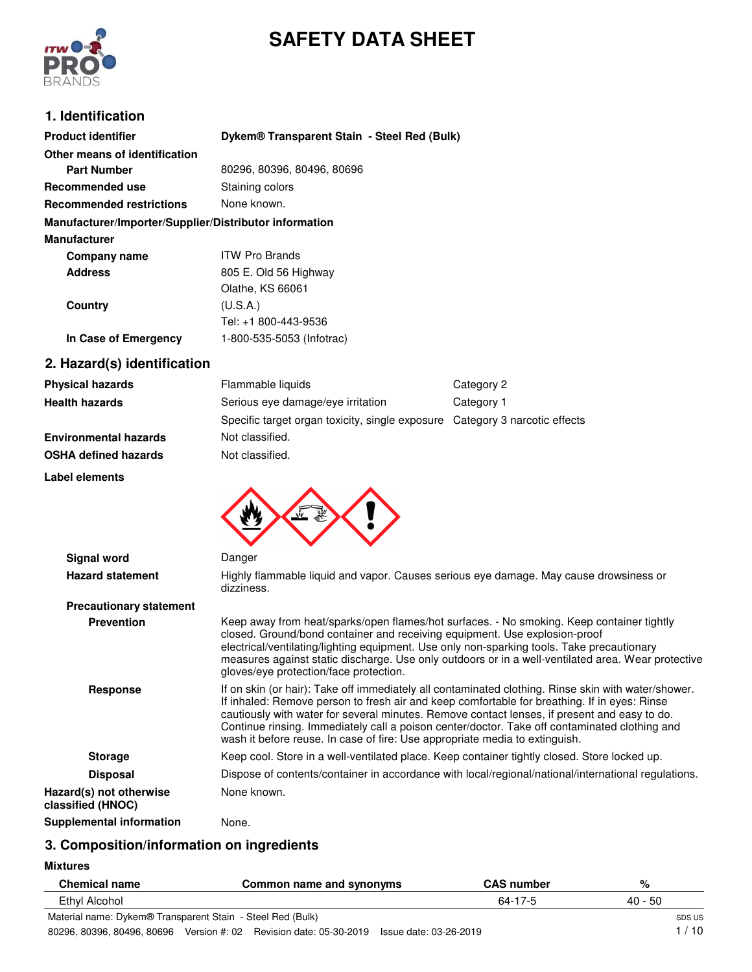



# **1. Identification**

| <b>Product identifier</b>                              | Dykem® Transparent Stain - Steel Red (Bulk) |
|--------------------------------------------------------|---------------------------------------------|
| Other means of identification                          |                                             |
| <b>Part Number</b>                                     | 80296, 80396, 80496, 80696                  |
| <b>Recommended use</b>                                 | Staining colors                             |
| <b>Recommended restrictions</b>                        | None known.                                 |
| Manufacturer/Importer/Supplier/Distributor information |                                             |
| <b>Manufacturer</b>                                    |                                             |
| Company name                                           | <b>ITW Pro Brands</b>                       |
| <b>Address</b>                                         | 805 E. Old 56 Highway                       |
|                                                        | Olathe, KS 66061                            |
| Country                                                | (U.S.A.)                                    |
|                                                        | Tel: +1 800-443-9536                        |
| In Case of Emergency                                   | 1-800-535-5053 (Infotrac)                   |
| 2. Hazard(s) identification                            |                                             |

| <b>Physical hazards</b>      | Flammable liquids                                                           | Category 2 |
|------------------------------|-----------------------------------------------------------------------------|------------|
| <b>Health hazards</b>        | Serious eye damage/eye irritation                                           | Category 1 |
|                              | Specific target organ toxicity, single exposure Category 3 narcotic effects |            |
| <b>Environmental hazards</b> | Not classified.                                                             |            |
| <b>OSHA defined hazards</b>  | Not classified.                                                             |            |

**Label elements**



| Signal word                                  | Danger                                                                                                                                                                                                                                                                                                                                                                                                                                                                              |
|----------------------------------------------|-------------------------------------------------------------------------------------------------------------------------------------------------------------------------------------------------------------------------------------------------------------------------------------------------------------------------------------------------------------------------------------------------------------------------------------------------------------------------------------|
| <b>Hazard statement</b>                      | Highly flammable liquid and vapor. Causes serious eye damage. May cause drowsiness or<br>dizziness.                                                                                                                                                                                                                                                                                                                                                                                 |
| <b>Precautionary statement</b>               |                                                                                                                                                                                                                                                                                                                                                                                                                                                                                     |
| <b>Prevention</b>                            | Keep away from heat/sparks/open flames/hot surfaces. - No smoking. Keep container tightly<br>closed. Ground/bond container and receiving equipment. Use explosion-proof<br>electrical/ventilating/lighting equipment. Use only non-sparking tools. Take precautionary<br>measures against static discharge. Use only outdoors or in a well-ventilated area. Wear protective<br>gloves/eye protection/face protection.                                                               |
| Response                                     | If on skin (or hair): Take off immediately all contaminated clothing. Rinse skin with water/shower.<br>If inhaled: Remove person to fresh air and keep comfortable for breathing. If in eyes: Rinse<br>cautiously with water for several minutes. Remove contact lenses, if present and easy to do.<br>Continue rinsing. Immediately call a poison center/doctor. Take off contaminated clothing and<br>wash it before reuse. In case of fire: Use appropriate media to extinguish. |
| <b>Storage</b>                               | Keep cool. Store in a well-ventilated place. Keep container tightly closed. Store locked up.                                                                                                                                                                                                                                                                                                                                                                                        |
| <b>Disposal</b>                              | Dispose of contents/container in accordance with local/regional/national/international regulations.                                                                                                                                                                                                                                                                                                                                                                                 |
| Hazard(s) not otherwise<br>classified (HNOC) | None known.                                                                                                                                                                                                                                                                                                                                                                                                                                                                         |
| <b>Supplemental information</b>              | None.                                                                                                                                                                                                                                                                                                                                                                                                                                                                               |

# **3. Composition/information on ingredients**

**Mixtures**

| <b>Chemical name</b>                                       | Common name and synonyms                                                                  | <b>CAS</b> number | %       |
|------------------------------------------------------------|-------------------------------------------------------------------------------------------|-------------------|---------|
| Ethyl Alcohol                                              |                                                                                           | 64-17-5           | 40 - 50 |
| Material name: Dykem® Transparent Stain - Steel Red (Bulk) |                                                                                           |                   | SDS US  |
|                                                            | 80296, 80396, 80496, 80696 Version #: 02 Revision date: 05-30-2019 Issue date: 03-26-2019 |                   | 1 / 10  |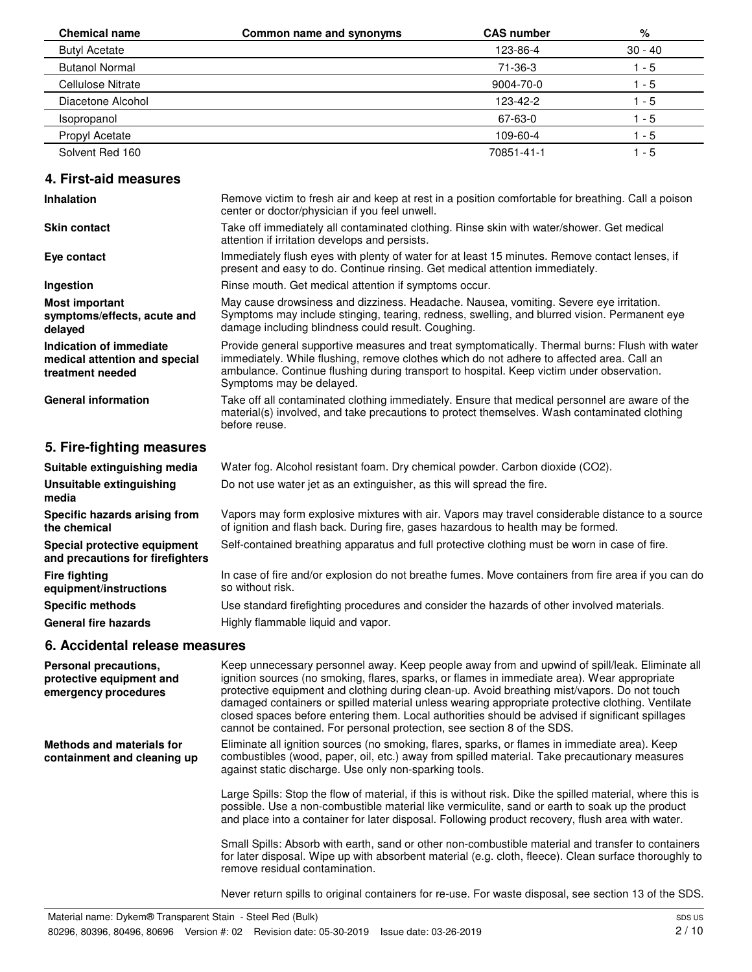| <b>Chemical name</b>  | Common name and synonyms | <b>CAS number</b> | %         |
|-----------------------|--------------------------|-------------------|-----------|
| <b>Butyl Acetate</b>  |                          | 123-86-4          | $30 - 40$ |
| <b>Butanol Normal</b> |                          | $71-36-3$         | 1 - 5     |
| Cellulose Nitrate     |                          | 9004-70-0         | 1 - 5     |
| Diacetone Alcohol     |                          | 123-42-2          | $1 - 5$   |
| Isopropanol           |                          | 67-63-0           | $1 - 5$   |
| <b>Propyl Acetate</b> |                          | 109-60-4          | $1 - 5$   |
| Solvent Red 160       |                          | 70851-41-1        | $1 - 5$   |

## **4. First-aid measures**

| <b>Inhalation</b>                                                            | Remove victim to fresh air and keep at rest in a position comfortable for breathing. Call a poison<br>center or doctor/physician if you feel unwell.                                                                                                                                                                 |
|------------------------------------------------------------------------------|----------------------------------------------------------------------------------------------------------------------------------------------------------------------------------------------------------------------------------------------------------------------------------------------------------------------|
| <b>Skin contact</b>                                                          | Take off immediately all contaminated clothing. Rinse skin with water/shower. Get medical<br>attention if irritation develops and persists.                                                                                                                                                                          |
| Eye contact                                                                  | Immediately flush eyes with plenty of water for at least 15 minutes. Remove contact lenses, if<br>present and easy to do. Continue rinsing. Get medical attention immediately.                                                                                                                                       |
| Ingestion                                                                    | Rinse mouth. Get medical attention if symptoms occur.                                                                                                                                                                                                                                                                |
| <b>Most important</b><br>symptoms/effects, acute and<br>delayed              | May cause drowsiness and dizziness. Headache. Nausea, vomiting. Severe eye irritation.<br>Symptoms may include stinging, tearing, redness, swelling, and blurred vision. Permanent eye<br>damage including blindness could result. Coughing.                                                                         |
| Indication of immediate<br>medical attention and special<br>treatment needed | Provide general supportive measures and treat symptomatically. Thermal burns: Flush with water<br>immediately. While flushing, remove clothes which do not adhere to affected area. Call an<br>ambulance. Continue flushing during transport to hospital. Keep victim under observation.<br>Symptoms may be delayed. |
| <b>General information</b>                                                   | Take off all contaminated clothing immediately. Ensure that medical personnel are aware of the<br>material(s) involved, and take precautions to protect themselves. Wash contaminated clothing<br>before reuse.                                                                                                      |
| 5. Fire-fighting measures                                                    |                                                                                                                                                                                                                                                                                                                      |
| Suitable extinguishing media                                                 | Water fog. Alcohol resistant foam. Dry chemical powder. Carbon dioxide (CO2).                                                                                                                                                                                                                                        |
| Unsuitable extinguishing<br>media                                            | Do not use water jet as an extinguisher, as this will spread the fire.                                                                                                                                                                                                                                               |
| Specific hazards arising from<br>the chemical                                | Vapors may form explosive mixtures with air. Vapors may travel considerable distance to a source<br>of ignition and flash back. During fire, gases hazardous to health may be formed.                                                                                                                                |
| Special protective equipment<br>and precautions for firefighters             | Self-contained breathing apparatus and full protective clothing must be worn in case of fire.                                                                                                                                                                                                                        |
| <b>Fire fighting</b><br>والمنافذ والمستنقص والمنافس والمستحدث                | In case of fire and/or explosion do not breathe fumes. Move containers from fire area if you can do<br>oo without riok                                                                                                                                                                                               |

| Suitable extinguishing inequal                                   | <b>Water Tog. Alcohol resistant foant. Dry chemical powder. Carbon dioxide (CO2).</b>                                                                                                 |
|------------------------------------------------------------------|---------------------------------------------------------------------------------------------------------------------------------------------------------------------------------------|
| Unsuitable extinguishing<br>media                                | Do not use water jet as an extinguisher, as this will spread the fire.                                                                                                                |
| Specific hazards arising from<br>the chemical                    | Vapors may form explosive mixtures with air. Vapors may travel considerable distance to a source<br>of ignition and flash back. During fire, gases hazardous to health may be formed. |
| Special protective equipment<br>and precautions for firefighters | Self-contained breathing apparatus and full protective clothing must be worn in case of fire.                                                                                         |
| <b>Fire fighting</b><br>equipment/instructions                   | In case of fire and/or explosion do not breathe fumes. Move containers from fire area if you can do<br>so without risk.                                                               |
| <b>Specific methods</b>                                          | Use standard firefighting procedures and consider the hazards of other involved materials.                                                                                            |
| <b>General fire hazards</b>                                      | Highly flammable liquid and vapor.                                                                                                                                                    |
|                                                                  |                                                                                                                                                                                       |

## **6. Accidental release measures**

| Personal precautions,<br>protective equipment and<br>emergency procedures | Keep unnecessary personnel away. Keep people away from and upwind of spill/leak. Eliminate all<br>ignition sources (no smoking, flares, sparks, or flames in immediate area). Wear appropriate<br>protective equipment and clothing during clean-up. Avoid breathing mist/vapors. Do not touch<br>damaged containers or spilled material unless wearing appropriate protective clothing. Ventilate<br>closed spaces before entering them. Local authorities should be advised if significant spillages<br>cannot be contained. For personal protection, see section 8 of the SDS. |
|---------------------------------------------------------------------------|-----------------------------------------------------------------------------------------------------------------------------------------------------------------------------------------------------------------------------------------------------------------------------------------------------------------------------------------------------------------------------------------------------------------------------------------------------------------------------------------------------------------------------------------------------------------------------------|
| <b>Methods and materials for</b><br>containment and cleaning up           | Eliminate all ignition sources (no smoking, flares, sparks, or flames in immediate area). Keep<br>combustibles (wood, paper, oil, etc.) away from spilled material. Take precautionary measures<br>against static discharge. Use only non-sparking tools.                                                                                                                                                                                                                                                                                                                         |
|                                                                           | Large Spills: Stop the flow of material, if this is without risk. Dike the spilled material, where this is<br>possible. Use a non-combustible material like vermiculite, sand or earth to soak up the product<br>and place into a container for later disposal. Following product recovery, flush area with water.                                                                                                                                                                                                                                                                |
|                                                                           | Small Spills: Absorb with earth, sand or other non-combustible material and transfer to containers<br>for later disposal. Wipe up with absorbent material (e.g. cloth, fleece). Clean surface thoroughly to<br>remove residual contamination.                                                                                                                                                                                                                                                                                                                                     |

Never return spills to original containers for re-use. For waste disposal, see section 13 of the SDS.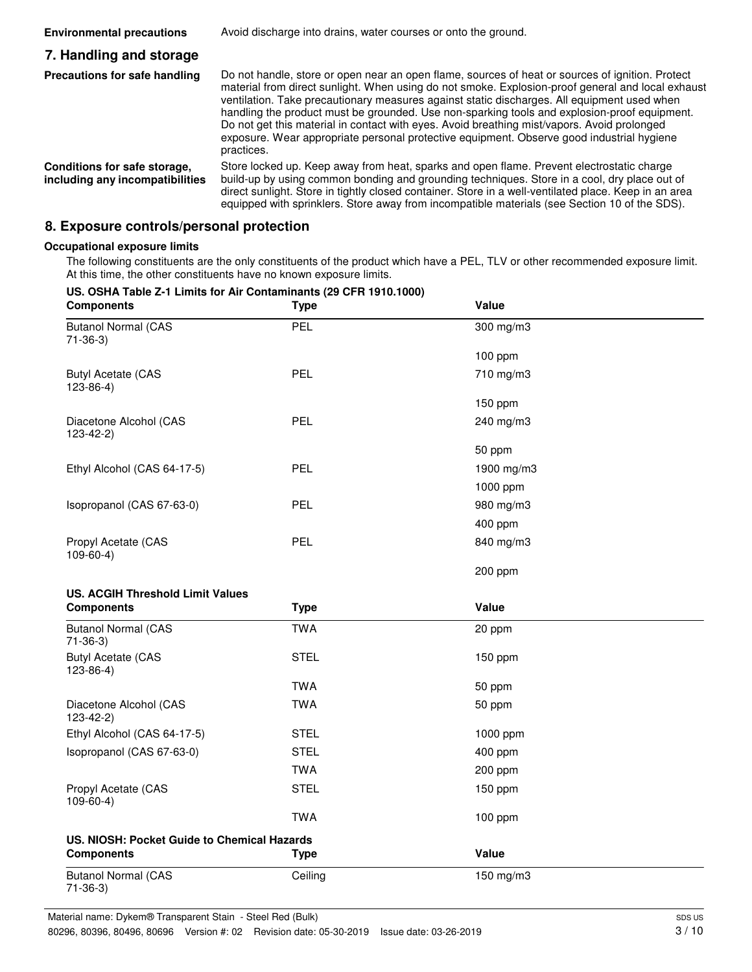| <b>Environmental precautions</b>                                | Avoid discharge into drains, water courses or onto the ground.                                                                                                                                                                                                                                                                                                                                                                                                                                                                                                                                                 |
|-----------------------------------------------------------------|----------------------------------------------------------------------------------------------------------------------------------------------------------------------------------------------------------------------------------------------------------------------------------------------------------------------------------------------------------------------------------------------------------------------------------------------------------------------------------------------------------------------------------------------------------------------------------------------------------------|
| 7. Handling and storage                                         |                                                                                                                                                                                                                                                                                                                                                                                                                                                                                                                                                                                                                |
| Precautions for safe handling                                   | Do not handle, store or open near an open flame, sources of heat or sources of ignition. Protect<br>material from direct sunlight. When using do not smoke. Explosion-proof general and local exhaust<br>ventilation. Take precautionary measures against static discharges. All equipment used when<br>handling the product must be grounded. Use non-sparking tools and explosion-proof equipment.<br>Do not get this material in contact with eyes. Avoid breathing mist/vapors. Avoid prolonged<br>exposure. Wear appropriate personal protective equipment. Observe good industrial hygiene<br>practices. |
| Conditions for safe storage,<br>including any incompatibilities | Store locked up. Keep away from heat, sparks and open flame. Prevent electrostatic charge<br>build-up by using common bonding and grounding techniques. Store in a cool, dry place out of<br>direct sunlight. Store in tightly closed container. Store in a well-ventilated place. Keep in an area<br>equipped with sprinklers. Store away from incompatible materials (see Section 10 of the SDS).                                                                                                                                                                                                            |

### **8. Exposure controls/personal protection**

**US. OSHA Table Z-1 Limits for Air Contaminants (29 CFR 1910.1000)**

#### **Occupational exposure limits**

The following constituents are the only constituents of the product which have a PEL, TLV or other recommended exposure limit. At this time, the other constituents have no known exposure limits.

| <b>Components</b>                           | <b>Type</b> | Value      |  |
|---------------------------------------------|-------------|------------|--|
| <b>Butanol Normal (CAS</b><br>$71-36-3)$    | PEL         | 300 mg/m3  |  |
|                                             |             | 100 ppm    |  |
| <b>Butyl Acetate (CAS</b><br>$123-86-4)$    | PEL         | 710 mg/m3  |  |
|                                             |             | 150 ppm    |  |
| Diacetone Alcohol (CAS<br>$123-42-2)$       | PEL         | 240 mg/m3  |  |
|                                             |             | 50 ppm     |  |
| Ethyl Alcohol (CAS 64-17-5)                 | PEL         | 1900 mg/m3 |  |
|                                             |             | 1000 ppm   |  |
| Isopropanol (CAS 67-63-0)                   | <b>PEL</b>  | 980 mg/m3  |  |
|                                             |             | 400 ppm    |  |
| Propyl Acetate (CAS<br>$109-60-4)$          | PEL         | 840 mg/m3  |  |
|                                             |             | 200 ppm    |  |
| <b>US. ACGIH Threshold Limit Values</b>     |             |            |  |
|                                             |             |            |  |
| <b>Components</b>                           | <b>Type</b> | Value      |  |
| <b>Butanol Normal (CAS</b><br>$71-36-3)$    | <b>TWA</b>  | 20 ppm     |  |
| <b>Butyl Acetate (CAS</b><br>$123-86-4)$    | <b>STEL</b> | 150 ppm    |  |
|                                             | <b>TWA</b>  | 50 ppm     |  |
| Diacetone Alcohol (CAS<br>$123-42-2)$       | <b>TWA</b>  | 50 ppm     |  |
| Ethyl Alcohol (CAS 64-17-5)                 | <b>STEL</b> | 1000 ppm   |  |
| Isopropanol (CAS 67-63-0)                   | <b>STEL</b> | 400 ppm    |  |
|                                             | <b>TWA</b>  | 200 ppm    |  |
| Propyl Acetate (CAS<br>$109-60-4)$          | <b>STEL</b> | 150 ppm    |  |
|                                             | <b>TWA</b>  | 100 ppm    |  |
| US. NIOSH: Pocket Guide to Chemical Hazards |             |            |  |
| <b>Components</b>                           | <b>Type</b> | Value      |  |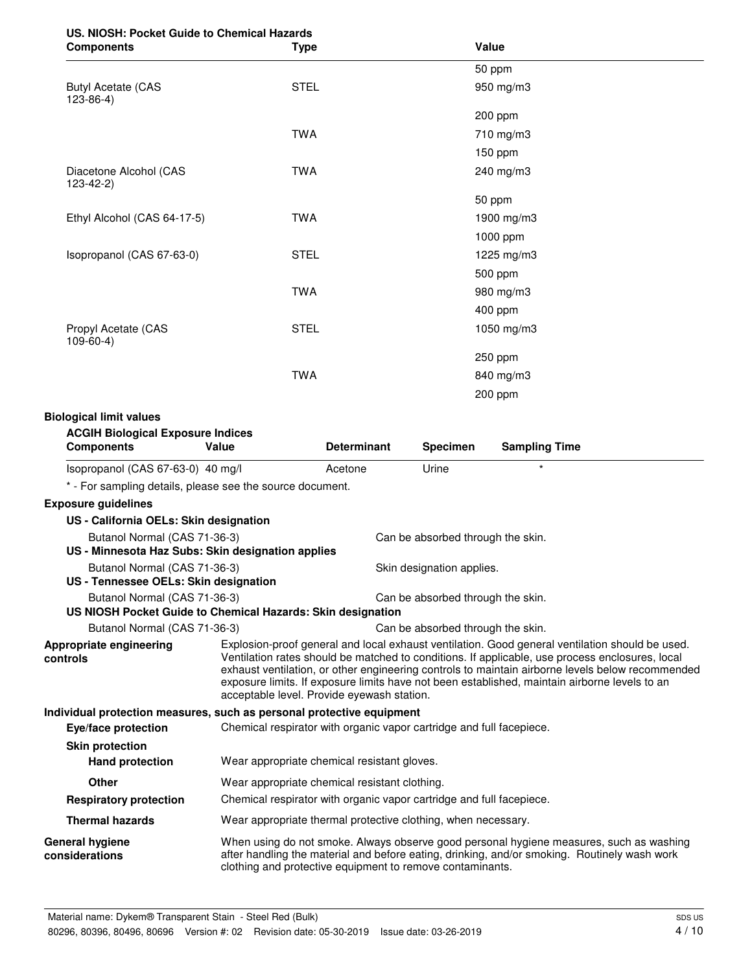| US. NIOSH: Pocket Guide to Chemical Hazards |             |
|---------------------------------------------|-------------|
| <b>Components</b>                           | <b>Type</b> |

| <b>Components</b>                                                                           | <b>Type</b>                                                                                                                                                                                                                                                                                                                                                                                                                                                                                |                    |                                   | Value                                                                                                                                                                                   |
|---------------------------------------------------------------------------------------------|--------------------------------------------------------------------------------------------------------------------------------------------------------------------------------------------------------------------------------------------------------------------------------------------------------------------------------------------------------------------------------------------------------------------------------------------------------------------------------------------|--------------------|-----------------------------------|-----------------------------------------------------------------------------------------------------------------------------------------------------------------------------------------|
|                                                                                             |                                                                                                                                                                                                                                                                                                                                                                                                                                                                                            |                    |                                   | 50 ppm                                                                                                                                                                                  |
| <b>Butyl Acetate (CAS</b><br>$123 - 86 - 4$                                                 | <b>STEL</b>                                                                                                                                                                                                                                                                                                                                                                                                                                                                                |                    |                                   | 950 mg/m3                                                                                                                                                                               |
|                                                                                             |                                                                                                                                                                                                                                                                                                                                                                                                                                                                                            |                    |                                   | 200 ppm                                                                                                                                                                                 |
|                                                                                             | <b>TWA</b>                                                                                                                                                                                                                                                                                                                                                                                                                                                                                 |                    |                                   | 710 mg/m3                                                                                                                                                                               |
|                                                                                             |                                                                                                                                                                                                                                                                                                                                                                                                                                                                                            |                    |                                   | 150 ppm                                                                                                                                                                                 |
| Diacetone Alcohol (CAS<br>$123 - 42 - 2)$                                                   | <b>TWA</b>                                                                                                                                                                                                                                                                                                                                                                                                                                                                                 |                    |                                   | 240 mg/m3                                                                                                                                                                               |
|                                                                                             |                                                                                                                                                                                                                                                                                                                                                                                                                                                                                            |                    |                                   | 50 ppm                                                                                                                                                                                  |
| Ethyl Alcohol (CAS 64-17-5)                                                                 | <b>TWA</b>                                                                                                                                                                                                                                                                                                                                                                                                                                                                                 |                    |                                   | 1900 mg/m3                                                                                                                                                                              |
|                                                                                             |                                                                                                                                                                                                                                                                                                                                                                                                                                                                                            |                    |                                   | 1000 ppm                                                                                                                                                                                |
| Isopropanol (CAS 67-63-0)                                                                   | <b>STEL</b>                                                                                                                                                                                                                                                                                                                                                                                                                                                                                |                    |                                   | 1225 mg/m3                                                                                                                                                                              |
|                                                                                             |                                                                                                                                                                                                                                                                                                                                                                                                                                                                                            |                    |                                   | 500 ppm                                                                                                                                                                                 |
|                                                                                             | <b>TWA</b>                                                                                                                                                                                                                                                                                                                                                                                                                                                                                 |                    |                                   | 980 mg/m3                                                                                                                                                                               |
|                                                                                             |                                                                                                                                                                                                                                                                                                                                                                                                                                                                                            |                    |                                   | 400 ppm                                                                                                                                                                                 |
| Propyl Acetate (CAS<br>$109-60-4)$                                                          | <b>STEL</b>                                                                                                                                                                                                                                                                                                                                                                                                                                                                                |                    |                                   | 1050 mg/m3                                                                                                                                                                              |
|                                                                                             |                                                                                                                                                                                                                                                                                                                                                                                                                                                                                            |                    |                                   | 250 ppm                                                                                                                                                                                 |
|                                                                                             | <b>TWA</b>                                                                                                                                                                                                                                                                                                                                                                                                                                                                                 |                    |                                   | 840 mg/m3                                                                                                                                                                               |
|                                                                                             |                                                                                                                                                                                                                                                                                                                                                                                                                                                                                            |                    |                                   | 200 ppm                                                                                                                                                                                 |
| <b>Biological limit values</b>                                                              |                                                                                                                                                                                                                                                                                                                                                                                                                                                                                            |                    |                                   |                                                                                                                                                                                         |
| <b>ACGIH Biological Exposure Indices</b>                                                    |                                                                                                                                                                                                                                                                                                                                                                                                                                                                                            |                    |                                   |                                                                                                                                                                                         |
| <b>Components</b>                                                                           | <b>Value</b>                                                                                                                                                                                                                                                                                                                                                                                                                                                                               | <b>Determinant</b> | <b>Specimen</b>                   | <b>Sampling Time</b>                                                                                                                                                                    |
| Isopropanol (CAS 67-63-0) 40 mg/l                                                           |                                                                                                                                                                                                                                                                                                                                                                                                                                                                                            | Acetone            | Urine                             | $\star$                                                                                                                                                                                 |
| * - For sampling details, please see the source document.                                   |                                                                                                                                                                                                                                                                                                                                                                                                                                                                                            |                    |                                   |                                                                                                                                                                                         |
| <b>Exposure guidelines</b>                                                                  |                                                                                                                                                                                                                                                                                                                                                                                                                                                                                            |                    |                                   |                                                                                                                                                                                         |
| US - California OELs: Skin designation                                                      |                                                                                                                                                                                                                                                                                                                                                                                                                                                                                            |                    |                                   |                                                                                                                                                                                         |
| Butanol Normal (CAS 71-36-3)<br>US - Minnesota Haz Subs: Skin designation applies           |                                                                                                                                                                                                                                                                                                                                                                                                                                                                                            |                    | Can be absorbed through the skin. |                                                                                                                                                                                         |
|                                                                                             | Butanol Normal (CAS 71-36-3)<br>Skin designation applies.<br>US - Tennessee OELs: Skin designation                                                                                                                                                                                                                                                                                                                                                                                         |                    |                                   |                                                                                                                                                                                         |
| Butanol Normal (CAS 71-36-3)<br>US NIOSH Pocket Guide to Chemical Hazards: Skin designation |                                                                                                                                                                                                                                                                                                                                                                                                                                                                                            |                    | Can be absorbed through the skin. |                                                                                                                                                                                         |
| Butanol Normal (CAS 71-36-3)                                                                |                                                                                                                                                                                                                                                                                                                                                                                                                                                                                            |                    |                                   |                                                                                                                                                                                         |
| Appropriate engineering<br>controls                                                         | Can be absorbed through the skin.<br>Explosion-proof general and local exhaust ventilation. Good general ventilation should be used.<br>Ventilation rates should be matched to conditions. If applicable, use process enclosures, local<br>exhaust ventilation, or other engineering controls to maintain airborne levels below recommended<br>exposure limits. If exposure limits have not been established, maintain airborne levels to an<br>acceptable level. Provide eyewash station. |                    |                                   |                                                                                                                                                                                         |
| Individual protection measures, such as personal protective equipment                       |                                                                                                                                                                                                                                                                                                                                                                                                                                                                                            |                    |                                   |                                                                                                                                                                                         |
| Eye/face protection                                                                         | Chemical respirator with organic vapor cartridge and full facepiece.                                                                                                                                                                                                                                                                                                                                                                                                                       |                    |                                   |                                                                                                                                                                                         |
| <b>Skin protection</b><br><b>Hand protection</b>                                            | Wear appropriate chemical resistant gloves.                                                                                                                                                                                                                                                                                                                                                                                                                                                |                    |                                   |                                                                                                                                                                                         |
| <b>Other</b>                                                                                | Wear appropriate chemical resistant clothing.                                                                                                                                                                                                                                                                                                                                                                                                                                              |                    |                                   |                                                                                                                                                                                         |
| <b>Respiratory protection</b>                                                               | Chemical respirator with organic vapor cartridge and full facepiece.                                                                                                                                                                                                                                                                                                                                                                                                                       |                    |                                   |                                                                                                                                                                                         |
| <b>Thermal hazards</b>                                                                      | Wear appropriate thermal protective clothing, when necessary.                                                                                                                                                                                                                                                                                                                                                                                                                              |                    |                                   |                                                                                                                                                                                         |
| <b>General hygiene</b><br>considerations                                                    | clothing and protective equipment to remove contaminants.                                                                                                                                                                                                                                                                                                                                                                                                                                  |                    |                                   | When using do not smoke. Always observe good personal hygiene measures, such as washing<br>after handling the material and before eating, drinking, and/or smoking. Routinely wash work |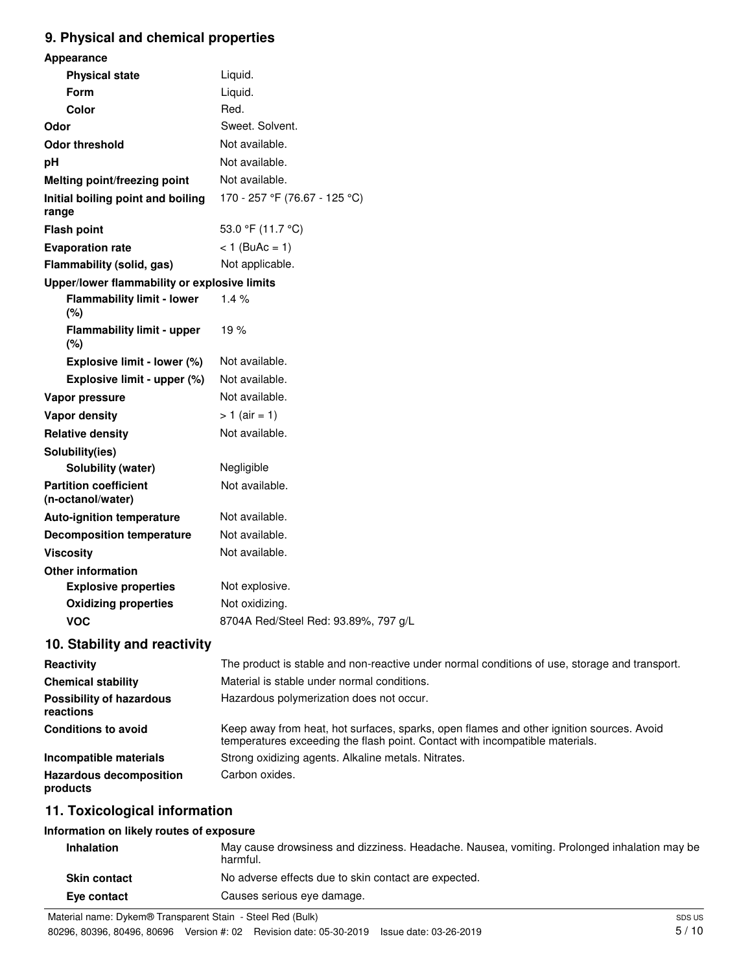# **9. Physical and chemical properties**

| Appearance                                        |                                                                                                                                                                          |
|---------------------------------------------------|--------------------------------------------------------------------------------------------------------------------------------------------------------------------------|
| <b>Physical state</b>                             | Liquid.                                                                                                                                                                  |
| Form                                              | Liquid.                                                                                                                                                                  |
| Color                                             | Red.                                                                                                                                                                     |
| Odor                                              | Sweet. Solvent.                                                                                                                                                          |
| <b>Odor threshold</b>                             | Not available.                                                                                                                                                           |
| pH                                                | Not available.                                                                                                                                                           |
| Melting point/freezing point                      | Not available.                                                                                                                                                           |
| Initial boiling point and boiling<br>range        | 170 - 257 °F (76.67 - 125 °C)                                                                                                                                            |
| <b>Flash point</b>                                | 53.0 °F (11.7 °C)                                                                                                                                                        |
| <b>Evaporation rate</b>                           | $< 1$ (BuAc = 1)                                                                                                                                                         |
| Flammability (solid, gas)                         | Not applicable.                                                                                                                                                          |
| Upper/lower flammability or explosive limits      |                                                                                                                                                                          |
| <b>Flammability limit - lower</b><br>(%)          | 1.4%                                                                                                                                                                     |
| <b>Flammability limit - upper</b><br>(%)          | 19%                                                                                                                                                                      |
| Explosive limit - lower (%)                       | Not available.                                                                                                                                                           |
| Explosive limit - upper (%)                       | Not available.                                                                                                                                                           |
| Vapor pressure                                    | Not available.                                                                                                                                                           |
| Vapor density                                     | $> 1$ (air = 1)                                                                                                                                                          |
| <b>Relative density</b>                           | Not available.                                                                                                                                                           |
| Solubility(ies)                                   |                                                                                                                                                                          |
| <b>Solubility (water)</b>                         | Negligible                                                                                                                                                               |
| <b>Partition coefficient</b><br>(n-octanol/water) | Not available.                                                                                                                                                           |
| <b>Auto-ignition temperature</b>                  | Not available.                                                                                                                                                           |
| <b>Decomposition temperature</b>                  | Not available.                                                                                                                                                           |
| <b>Viscosity</b>                                  | Not available.                                                                                                                                                           |
| <b>Other information</b>                          |                                                                                                                                                                          |
| <b>Explosive properties</b>                       | Not explosive.                                                                                                                                                           |
| <b>Oxidizing properties</b>                       | Not oxidizing.                                                                                                                                                           |
| <b>VOC</b>                                        | 8704A Red/Steel Red: 93.89%, 797 g/L                                                                                                                                     |
| 10. Stability and reactivity                      |                                                                                                                                                                          |
| Reactivity                                        | The product is stable and non-reactive under normal conditions of use, storage and transport.                                                                            |
| <b>Chemical stability</b>                         | Material is stable under normal conditions.                                                                                                                              |
| <b>Possibility of hazardous</b><br>reactions      | Hazardous polymerization does not occur.                                                                                                                                 |
| <b>Conditions to avoid</b>                        | Keep away from heat, hot surfaces, sparks, open flames and other ignition sources. Avoid<br>temperatures exceeding the flash point. Contact with incompatible materials. |
| Incompatible materials                            | Strong oxidizing agents. Alkaline metals. Nitrates.                                                                                                                      |
| <b>Hazardous decomposition</b><br>products        | Carbon oxides.                                                                                                                                                           |
|                                                   |                                                                                                                                                                          |

# **11. Toxicological information**

### **Information on likely routes of exposure**

| <b>Inhalation</b>   | May cause drowsiness and dizziness. Headache. Nausea, vomiting. Prolonged inhalation may be<br>harmful. |
|---------------------|---------------------------------------------------------------------------------------------------------|
| <b>Skin contact</b> | No adverse effects due to skin contact are expected.                                                    |
| Eve contact         | Causes serious eye damage.                                                                              |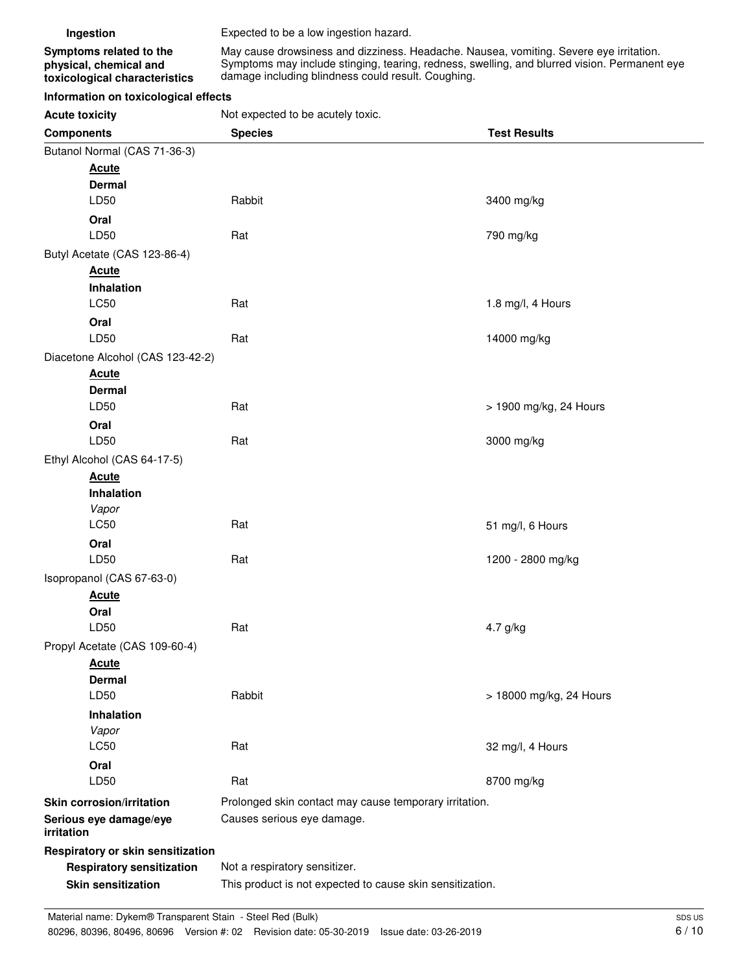| Ingestion |
|-----------|
|           |

**Ingestion** Expected to be a low ingestion hazard.

damage including blindness could result. Coughing.

May cause drowsiness and dizziness. Headache. Nausea, vomiting. Severe eye irritation. Symptoms may include stinging, tearing, redness, swelling, and blurred vision. Permanent eye

**Symptoms related to the physical, chemical and toxicological characteristics**

**Information on toxicological effects**

**Acute toxicity** Not expected to be acutely toxic.

| <b>Components</b>                    | <b>Species</b>                                            | <b>Test Results</b>     |  |
|--------------------------------------|-----------------------------------------------------------|-------------------------|--|
| Butanol Normal (CAS 71-36-3)         |                                                           |                         |  |
| <b>Acute</b>                         |                                                           |                         |  |
| <b>Dermal</b>                        |                                                           |                         |  |
| LD50                                 | Rabbit                                                    | 3400 mg/kg              |  |
| Oral                                 |                                                           |                         |  |
| LD50                                 | Rat                                                       | 790 mg/kg               |  |
| Butyl Acetate (CAS 123-86-4)         |                                                           |                         |  |
| <b>Acute</b>                         |                                                           |                         |  |
| Inhalation                           |                                                           |                         |  |
| <b>LC50</b>                          | Rat                                                       | 1.8 mg/l, 4 Hours       |  |
| Oral                                 |                                                           |                         |  |
| LD50                                 | Rat                                                       | 14000 mg/kg             |  |
| Diacetone Alcohol (CAS 123-42-2)     |                                                           |                         |  |
| <b>Acute</b>                         |                                                           |                         |  |
| <b>Dermal</b><br>LD50                | Rat                                                       | > 1900 mg/kg, 24 Hours  |  |
|                                      |                                                           |                         |  |
| Oral<br>LD50                         | Rat                                                       | 3000 mg/kg              |  |
| Ethyl Alcohol (CAS 64-17-5)          |                                                           |                         |  |
| <b>Acute</b>                         |                                                           |                         |  |
| Inhalation                           |                                                           |                         |  |
| Vapor                                |                                                           |                         |  |
| LC50                                 | Rat                                                       | 51 mg/l, 6 Hours        |  |
| Oral                                 |                                                           |                         |  |
| LD50                                 | Rat                                                       | 1200 - 2800 mg/kg       |  |
| Isopropanol (CAS 67-63-0)            |                                                           |                         |  |
| <b>Acute</b>                         |                                                           |                         |  |
| Oral                                 |                                                           |                         |  |
| LD50                                 | Rat                                                       | 4.7 g/kg                |  |
| Propyl Acetate (CAS 109-60-4)        |                                                           |                         |  |
| <b>Acute</b>                         |                                                           |                         |  |
| <b>Dermal</b>                        |                                                           |                         |  |
| LD50                                 | Rabbit                                                    | > 18000 mg/kg, 24 Hours |  |
| <b>Inhalation</b>                    |                                                           |                         |  |
| Vapor                                |                                                           |                         |  |
| <b>LC50</b>                          | Rat                                                       | 32 mg/l, 4 Hours        |  |
| Oral<br>LD50                         | Rat                                                       |                         |  |
|                                      |                                                           | 8700 mg/kg              |  |
| <b>Skin corrosion/irritation</b>     | Prolonged skin contact may cause temporary irritation.    |                         |  |
| Serious eye damage/eye<br>irritation | Causes serious eye damage.                                |                         |  |
| Respiratory or skin sensitization    |                                                           |                         |  |
| <b>Respiratory sensitization</b>     | Not a respiratory sensitizer.                             |                         |  |
| <b>Skin sensitization</b>            | This product is not expected to cause skin sensitization. |                         |  |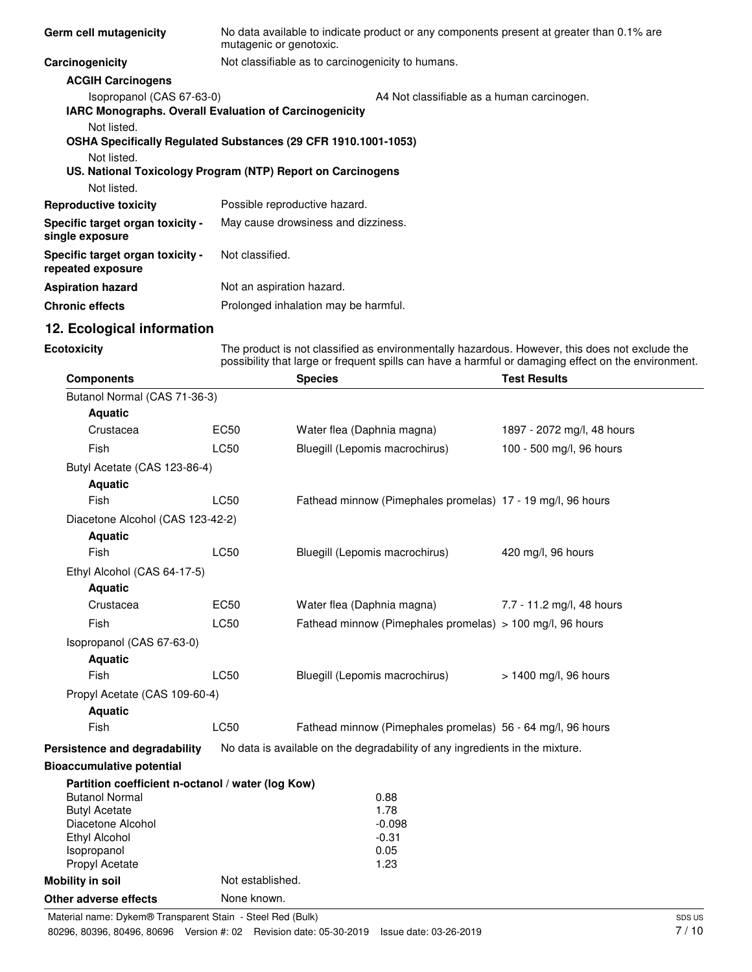| Germ cell mutagenicity                                | No data available to indicate product or any components present at greater than 0.1% are<br>mutagenic or genotoxic.           |  |  |
|-------------------------------------------------------|-------------------------------------------------------------------------------------------------------------------------------|--|--|
| Carcinogenicity                                       | Not classifiable as to carcinogenicity to humans.                                                                             |  |  |
| <b>ACGIH Carcinogens</b>                              |                                                                                                                               |  |  |
| Isopropanol (CAS 67-63-0)                             | A4 Not classifiable as a human carcinogen.<br><b>IARC Monographs. Overall Evaluation of Carcinogenicity</b>                   |  |  |
| Not listed.<br>Not listed.<br>Not listed.             | OSHA Specifically Regulated Substances (29 CFR 1910.1001-1053)<br>US. National Toxicology Program (NTP) Report on Carcinogens |  |  |
| <b>Reproductive toxicity</b>                          | Possible reproductive hazard.                                                                                                 |  |  |
| Specific target organ toxicity -<br>single exposure   | May cause drowsiness and dizziness.                                                                                           |  |  |
| Specific target organ toxicity -<br>repeated exposure | Not classified.                                                                                                               |  |  |
| <b>Aspiration hazard</b>                              | Not an aspiration hazard.                                                                                                     |  |  |
| <b>Chronic effects</b>                                | Prolonged inhalation may be harmful.                                                                                          |  |  |

## **12. Ecological information**

#### **Ecotoxicity**

The product is not classified as environmentally hazardous. However, this does not exclude the possibility that large or frequent spills can have a harmful or damaging effect on the environment.

| <b>Components</b>                                 |                  | <b>Species</b>                                                               | <b>Test Results</b>        |
|---------------------------------------------------|------------------|------------------------------------------------------------------------------|----------------------------|
| Butanol Normal (CAS 71-36-3)                      |                  |                                                                              |                            |
| <b>Aquatic</b>                                    |                  |                                                                              |                            |
| Crustacea                                         | <b>EC50</b>      | Water flea (Daphnia magna)                                                   | 1897 - 2072 mg/l, 48 hours |
| Fish                                              | <b>LC50</b>      | Bluegill (Lepomis macrochirus)                                               | 100 - 500 mg/l, 96 hours   |
| Butyl Acetate (CAS 123-86-4)                      |                  |                                                                              |                            |
| <b>Aquatic</b>                                    |                  |                                                                              |                            |
| Fish                                              | <b>LC50</b>      | Fathead minnow (Pimephales promelas) 17 - 19 mg/l, 96 hours                  |                            |
| Diacetone Alcohol (CAS 123-42-2)                  |                  |                                                                              |                            |
| <b>Aquatic</b>                                    |                  |                                                                              |                            |
| Fish                                              | <b>LC50</b>      | Bluegill (Lepomis macrochirus)                                               | 420 mg/l, 96 hours         |
| Ethyl Alcohol (CAS 64-17-5)                       |                  |                                                                              |                            |
| <b>Aquatic</b>                                    |                  |                                                                              |                            |
| Crustacea                                         | <b>EC50</b>      | Water flea (Daphnia magna)                                                   | 7.7 - 11.2 mg/l, 48 hours  |
| Fish                                              | <b>LC50</b>      | Fathead minnow (Pimephales promelas) > 100 mg/l, 96 hours                    |                            |
| Isopropanol (CAS 67-63-0)                         |                  |                                                                              |                            |
| <b>Aquatic</b>                                    |                  |                                                                              |                            |
| Fish                                              | <b>LC50</b>      | Bluegill (Lepomis macrochirus)                                               | > 1400 mg/l, 96 hours      |
| Propyl Acetate (CAS 109-60-4)                     |                  |                                                                              |                            |
| <b>Aquatic</b>                                    |                  |                                                                              |                            |
| Fish                                              | <b>LC50</b>      | Fathead minnow (Pimephales promelas) 56 - 64 mg/l, 96 hours                  |                            |
| Persistence and degradability                     |                  | No data is available on the degradability of any ingredients in the mixture. |                            |
| <b>Bioaccumulative potential</b>                  |                  |                                                                              |                            |
| Partition coefficient n-octanol / water (log Kow) |                  |                                                                              |                            |
| <b>Butanol Normal</b>                             |                  | 0.88                                                                         |                            |
| <b>Butyl Acetate</b>                              |                  | 1.78                                                                         |                            |
| Diacetone Alcohol<br>Ethyl Alcohol                |                  | $-0.098$<br>$-0.31$                                                          |                            |
| Isopropanol                                       |                  | 0.05                                                                         |                            |
| Propyl Acetate                                    |                  | 1.23                                                                         |                            |
| <b>Mobility in soil</b>                           | Not established. |                                                                              |                            |
| Other adverse effects                             | None known.      |                                                                              |                            |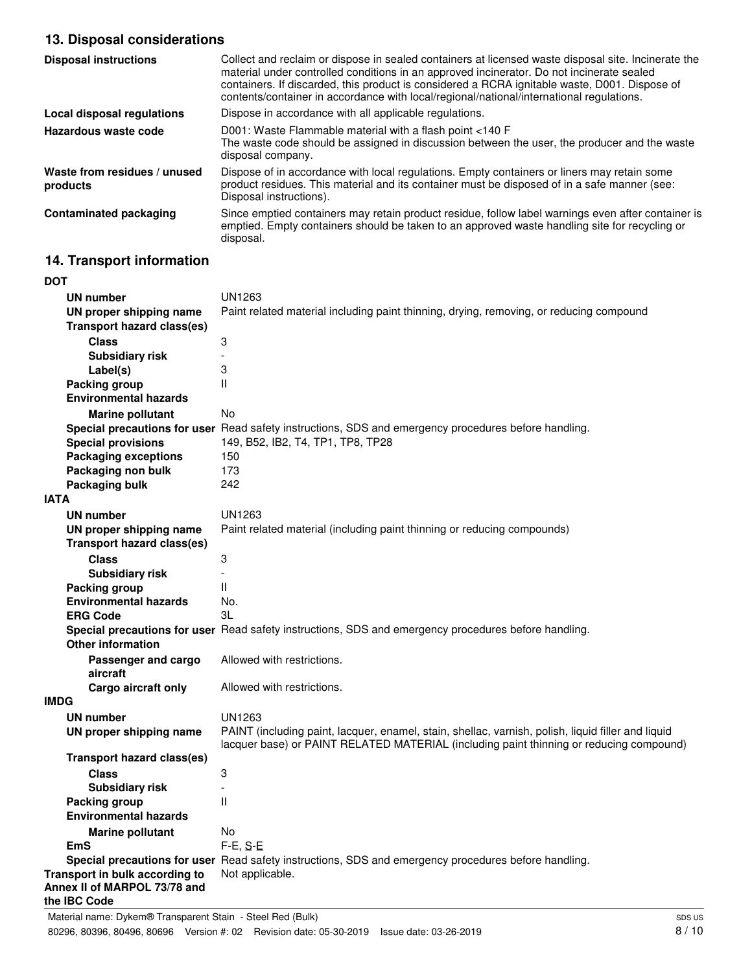# **13. Disposal considerations**

| <b>Disposal instructions</b>             | Collect and reclaim or dispose in sealed containers at licensed waste disposal site. Incinerate the<br>material under controlled conditions in an approved incinerator. Do not incinerate sealed<br>containers. If discarded, this product is considered a RCRA ignitable waste, D001. Dispose of<br>contents/container in accordance with local/regional/national/international regulations. |
|------------------------------------------|-----------------------------------------------------------------------------------------------------------------------------------------------------------------------------------------------------------------------------------------------------------------------------------------------------------------------------------------------------------------------------------------------|
| Local disposal regulations               | Dispose in accordance with all applicable regulations.                                                                                                                                                                                                                                                                                                                                        |
| Hazardous waste code                     | D001: Waste Flammable material with a flash point <140 F<br>The waste code should be assigned in discussion between the user, the producer and the waste<br>disposal company.                                                                                                                                                                                                                 |
| Waste from residues / unused<br>products | Dispose of in accordance with local regulations. Empty containers or liners may retain some<br>product residues. This material and its container must be disposed of in a safe manner (see:<br>Disposal instructions).                                                                                                                                                                        |
| <b>Contaminated packaging</b>            | Since emptied containers may retain product residue, follow label warnings even after container is<br>emptied. Empty containers should be taken to an approved waste handling site for recycling or<br>disposal.                                                                                                                                                                              |

# **14. Transport information**

| <b>DOT</b>                                    |                                                                                                      |  |  |
|-----------------------------------------------|------------------------------------------------------------------------------------------------------|--|--|
| <b>UN number</b>                              | UN1263                                                                                               |  |  |
| UN proper shipping name                       | Paint related material including paint thinning, drying, removing, or reducing compound              |  |  |
| <b>Transport hazard class(es)</b>             |                                                                                                      |  |  |
| <b>Class</b>                                  | 3                                                                                                    |  |  |
| <b>Subsidiary risk</b>                        | $\overline{a}$                                                                                       |  |  |
| Label(s)                                      | 3                                                                                                    |  |  |
| <b>Packing group</b>                          | Ш                                                                                                    |  |  |
| <b>Environmental hazards</b>                  |                                                                                                      |  |  |
| <b>Marine pollutant</b>                       | No                                                                                                   |  |  |
|                                               | Special precautions for user Read safety instructions, SDS and emergency procedures before handling. |  |  |
| <b>Special provisions</b>                     | 149, B52, IB2, T4, TP1, TP8, TP28                                                                    |  |  |
| <b>Packaging exceptions</b>                   | 150                                                                                                  |  |  |
| Packaging non bulk                            | 173                                                                                                  |  |  |
| <b>Packaging bulk</b>                         | 242                                                                                                  |  |  |
| <b>IATA</b>                                   |                                                                                                      |  |  |
| UN number                                     | UN1263                                                                                               |  |  |
| UN proper shipping name                       | Paint related material (including paint thinning or reducing compounds)                              |  |  |
| <b>Transport hazard class(es)</b>             |                                                                                                      |  |  |
| <b>Class</b>                                  | 3                                                                                                    |  |  |
| <b>Subsidiary risk</b>                        |                                                                                                      |  |  |
| Packing group                                 | Ш                                                                                                    |  |  |
| <b>Environmental hazards</b>                  | No.                                                                                                  |  |  |
| <b>ERG Code</b>                               | 3L                                                                                                   |  |  |
|                                               | Special precautions for user Read safety instructions, SDS and emergency procedures before handling. |  |  |
| <b>Other information</b>                      |                                                                                                      |  |  |
| Passenger and cargo                           | Allowed with restrictions.                                                                           |  |  |
| aircraft                                      |                                                                                                      |  |  |
| Cargo aircraft only                           | Allowed with restrictions.                                                                           |  |  |
| <b>IMDG</b>                                   |                                                                                                      |  |  |
| <b>UN number</b>                              | UN1263                                                                                               |  |  |
| UN proper shipping name                       | PAINT (including paint, lacquer, enamel, stain, shellac, varnish, polish, liquid filler and liquid   |  |  |
| <b>Transport hazard class(es)</b>             | lacquer base) or PAINT RELATED MATERIAL (including paint thinning or reducing compound)              |  |  |
|                                               |                                                                                                      |  |  |
| <b>Class</b>                                  | 3                                                                                                    |  |  |
| <b>Subsidiary risk</b>                        | Ш                                                                                                    |  |  |
| Packing group<br><b>Environmental hazards</b> |                                                                                                      |  |  |
|                                               | No                                                                                                   |  |  |
| <b>Marine pollutant</b><br><b>EmS</b>         | $F-E, S-E$                                                                                           |  |  |
|                                               | Special precautions for user Read safety instructions, SDS and emergency procedures before handling. |  |  |
| Transport in bulk according to                | Not applicable.                                                                                      |  |  |
| Annex II of MARPOL 73/78 and<br>the IBC Code  |                                                                                                      |  |  |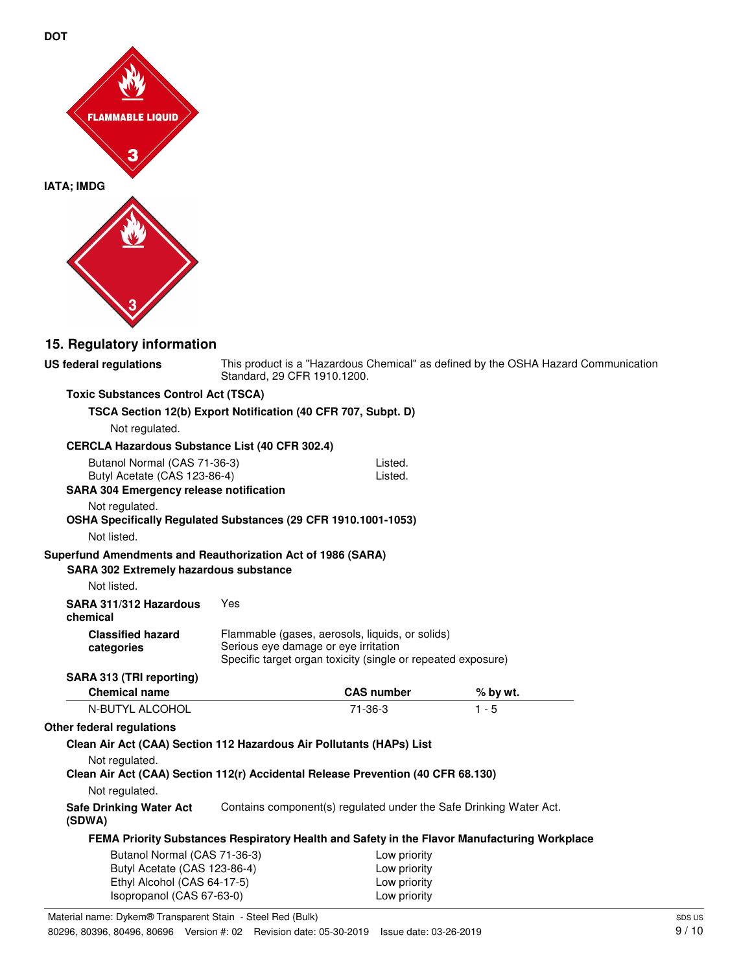



# **15. Regulatory information**

| US federal regulations                                                           | Standard, 29 CFR 1910.1200.          |                                                                                                                 | This product is a "Hazardous Chemical" as defined by the OSHA Hazard Communication           |  |
|----------------------------------------------------------------------------------|--------------------------------------|-----------------------------------------------------------------------------------------------------------------|----------------------------------------------------------------------------------------------|--|
| <b>Toxic Substances Control Act (TSCA)</b>                                       |                                      |                                                                                                                 |                                                                                              |  |
| TSCA Section 12(b) Export Notification (40 CFR 707, Subpt. D)                    |                                      |                                                                                                                 |                                                                                              |  |
| Not regulated.                                                                   |                                      |                                                                                                                 |                                                                                              |  |
| CERCLA Hazardous Substance List (40 CFR 302.4)                                   |                                      |                                                                                                                 |                                                                                              |  |
| Butanol Normal (CAS 71-36-3)                                                     |                                      | Listed.                                                                                                         |                                                                                              |  |
| Butyl Acetate (CAS 123-86-4)                                                     |                                      | Listed.                                                                                                         |                                                                                              |  |
| <b>SARA 304 Emergency release notification</b>                                   |                                      |                                                                                                                 |                                                                                              |  |
| Not regulated.                                                                   |                                      |                                                                                                                 |                                                                                              |  |
| OSHA Specifically Regulated Substances (29 CFR 1910.1001-1053)                   |                                      |                                                                                                                 |                                                                                              |  |
| Not listed.                                                                      |                                      |                                                                                                                 |                                                                                              |  |
| Superfund Amendments and Reauthorization Act of 1986 (SARA)                      |                                      |                                                                                                                 |                                                                                              |  |
| <b>SARA 302 Extremely hazardous substance</b>                                    |                                      |                                                                                                                 |                                                                                              |  |
| Not listed.                                                                      |                                      |                                                                                                                 |                                                                                              |  |
| SARA 311/312 Hazardous<br>chemical                                               | Yes                                  |                                                                                                                 |                                                                                              |  |
| <b>Classified hazard</b><br>categories                                           | Serious eye damage or eye irritation | Flammable (gases, aerosols, liquids, or solids)<br>Specific target organ toxicity (single or repeated exposure) |                                                                                              |  |
| SARA 313 (TRI reporting)                                                         |                                      |                                                                                                                 |                                                                                              |  |
| <b>Chemical name</b>                                                             |                                      | <b>CAS number</b>                                                                                               | % by wt.                                                                                     |  |
| N-BUTYL ALCOHOL                                                                  |                                      | $71-36-3$                                                                                                       | $1 - 5$                                                                                      |  |
| Other federal regulations                                                        |                                      |                                                                                                                 |                                                                                              |  |
| Clean Air Act (CAA) Section 112 Hazardous Air Pollutants (HAPs) List             |                                      |                                                                                                                 |                                                                                              |  |
| Not regulated.                                                                   |                                      |                                                                                                                 |                                                                                              |  |
| Clean Air Act (CAA) Section 112(r) Accidental Release Prevention (40 CFR 68.130) |                                      |                                                                                                                 |                                                                                              |  |
| Not regulated.                                                                   |                                      |                                                                                                                 |                                                                                              |  |
| <b>Safe Drinking Water Act</b><br>(SDWA)                                         |                                      | Contains component(s) regulated under the Safe Drinking Water Act.                                              |                                                                                              |  |
|                                                                                  |                                      |                                                                                                                 | FEMA Priority Substances Respiratory Health and Safety in the Flavor Manufacturing Workplace |  |
| Butanol Normal (CAS 71-36-3)                                                     |                                      | Low priority                                                                                                    |                                                                                              |  |
| Butyl Acetate (CAS 123-86-4)                                                     |                                      | Low priority                                                                                                    |                                                                                              |  |
| Ethyl Alcohol (CAS 64-17-5)                                                      |                                      | Low priority                                                                                                    |                                                                                              |  |
| Isopropanol (CAS 67-63-0)                                                        |                                      | Low priority                                                                                                    |                                                                                              |  |